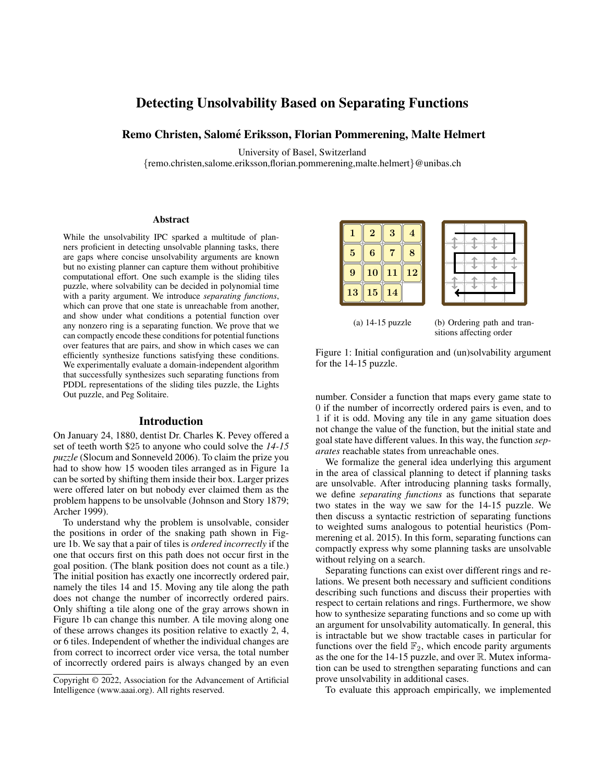# Detecting Unsolvability Based on Separating Functions

# Remo Christen, Salomé Eriksson, Florian Pommerening, Malte Helmert

University of Basel, Switzerland

{remo.christen,salome.eriksson,florian.pommerening,malte.helmert}@unibas.ch

#### Abstract

While the unsolvability IPC sparked a multitude of planners proficient in detecting unsolvable planning tasks, there are gaps where concise unsolvability arguments are known but no existing planner can capture them without prohibitive computational effort. One such example is the sliding tiles puzzle, where solvability can be decided in polynomial time with a parity argument. We introduce *separating functions*, which can prove that one state is unreachable from another, and show under what conditions a potential function over any nonzero ring is a separating function. We prove that we can compactly encode these conditions for potential functions over features that are pairs, and show in which cases we can efficiently synthesize functions satisfying these conditions. We experimentally evaluate a domain-independent algorithm that successfully synthesizes such separating functions from PDDL representations of the sliding tiles puzzle, the Lights Out puzzle, and Peg Solitaire.

#### Introduction

On January 24, 1880, dentist Dr. Charles K. Pevey offered a set of teeth worth \$25 to anyone who could solve the *14-15 puzzle* (Slocum and Sonneveld 2006). To claim the prize you had to show how 15 wooden tiles arranged as in Figure 1a can be sorted by shifting them inside their box. Larger prizes were offered later on but nobody ever claimed them as the problem happens to be unsolvable (Johnson and Story 1879; Archer 1999).

To understand why the problem is unsolvable, consider the positions in order of the snaking path shown in Figure 1b. We say that a pair of tiles is *ordered incorrectly* if the one that occurs first on this path does not occur first in the goal position. (The blank position does not count as a tile.) The initial position has exactly one incorrectly ordered pair, namely the tiles 14 and 15. Moving any tile along the path does not change the number of incorrectly ordered pairs. Only shifting a tile along one of the gray arrows shown in Figure 1b can change this number. A tile moving along one of these arrows changes its position relative to exactly 2, 4, or 6 tiles. Independent of whether the individual changes are from correct to incorrect order vice versa, the total number of incorrectly ordered pairs is always changed by an even

|    | $\overline{2}$ | 3  |    |  |  |  |
|----|----------------|----|----|--|--|--|
| 5  | 6              |    | 8  |  |  |  |
| 9  | <b>10</b>      | 11 | 12 |  |  |  |
| 13 | 15             | 14 |    |  |  |  |

(a) 14-15 puzzle (b) Ordering path and transitions affecting order

Figure 1: Initial configuration and (un)solvability argument for the 14-15 puzzle.

number. Consider a function that maps every game state to 0 if the number of incorrectly ordered pairs is even, and to 1 if it is odd. Moving any tile in any game situation does not change the value of the function, but the initial state and goal state have different values. In this way, the function *separates* reachable states from unreachable ones.

We formalize the general idea underlying this argument in the area of classical planning to detect if planning tasks are unsolvable. After introducing planning tasks formally, we define *separating functions* as functions that separate two states in the way we saw for the 14-15 puzzle. We then discuss a syntactic restriction of separating functions to weighted sums analogous to potential heuristics (Pommerening et al. 2015). In this form, separating functions can compactly express why some planning tasks are unsolvable without relying on a search.

Separating functions can exist over different rings and relations. We present both necessary and sufficient conditions describing such functions and discuss their properties with respect to certain relations and rings. Furthermore, we show how to synthesize separating functions and so come up with an argument for unsolvability automatically. In general, this is intractable but we show tractable cases in particular for functions over the field  $\mathbb{F}_2$ , which encode parity arguments as the one for the  $14-15$  puzzle, and over  $\mathbb R$ . Mutex information can be used to strengthen separating functions and can prove unsolvability in additional cases.

To evaluate this approach empirically, we implemented

Copyright © 2022, Association for the Advancement of Artificial Intelligence (www.aaai.org). All rights reserved.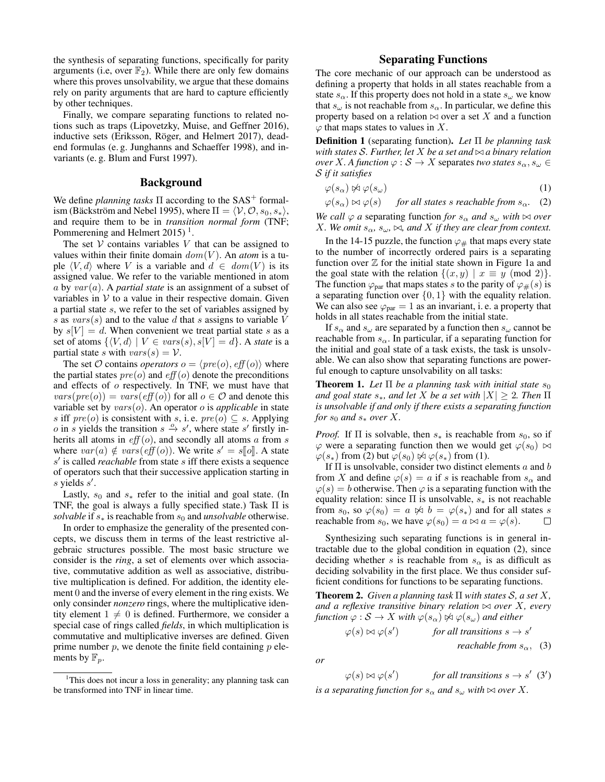the synthesis of separating functions, specifically for parity arguments (i.e, over  $\mathbb{F}_2$ ). While there are only few domains where this proves unsolvability, we argue that these domains rely on parity arguments that are hard to capture efficiently by other techniques.

Finally, we compare separating functions to related notions such as traps (Lipovetzky, Muise, and Geffner 2016), inductive sets (Eriksson, Röger, and Helmert 2017), deadend formulas (e. g. Junghanns and Schaeffer 1998), and invariants (e. g. Blum and Furst 1997).

### Background

We define *planning tasks*  $\Pi$  according to the SAS<sup>+</sup> formalism (Bäckström and Nebel 1995), where  $\Pi = \langle V, O, s_0, s_* \rangle$ , and require them to be in *transition normal form* (TNF; Pommerening and Helmert 2015)<sup>1</sup>.

The set  $V$  contains variables  $V$  that can be assigned to values within their finite domain  $dom(V)$ . An *atom* is a tuple  $\langle V, d \rangle$  where V is a variable and  $d \in dom(V)$  is its assigned value. We refer to the variable mentioned in atom  $a$  by  $var(a)$ . A *partial state* is an assignment of a subset of variables in  $V$  to a value in their respective domain. Given a partial state s, we refer to the set of variables assigned by s as  $vars(s)$  and to the value d that s assigns to variable V by  $s[V] = d$ . When convenient we treat partial state s as a set of atoms  $\{ \langle V, d \rangle | V \in vars(s), s[V] = d \}.$  A *state* is a partial state s with  $vars(s) = V$ .

The set O contains *operators*  $o = \langle pre(o), eff(o) \rangle$  where the partial states  $pre(o)$  and  $eff(o)$  denote the preconditions and effects of o respectively. In TNF, we must have that  $vars(pre(o)) = vars(eff(o))$  for all  $o \in \mathcal{O}$  and denote this variable set by vars(o). An operator o is *applicable* in state s iff  $pre(o)$  is consistent with s, i.e.  $pre(o) \subseteq s$ . Applying *o* in *s* yields the transition  $s \stackrel{o}{\rightarrow} s'$ , where state s' firstly inherits all atoms in  $eff(o)$ , and secondly all atoms a from s where  $var(a) \notin vars(eff(o))$ . We write  $s' = s[[o]]$ . A state  $s'$  is called *reachable* from state s iff there exists a sequence s' is called *reachable* from state s iff there exists a sequence of operators such that their successive application starting in  $s$  yields  $s'$ .

Lastly,  $s_0$  and  $s_*$  refer to the initial and goal state. (In TNF, the goal is always a fully specified state.) Task  $\Pi$  is *solvable* if  $s_*$  is reachable from  $s_0$  and *unsolvable* otherwise.

In order to emphasize the generality of the presented concepts, we discuss them in terms of the least restrictive algebraic structures possible. The most basic structure we consider is the *ring*, a set of elements over which associative, commutative addition as well as associative, distributive multiplication is defined. For addition, the identity element 0 and the inverse of every element in the ring exists. We only consinder *nonzero* rings, where the multiplicative identity element  $1 \neq 0$  is defined. Furthermore, we consider a special case of rings called *fields*, in which multiplication is commutative and multiplicative inverses are defined. Given prime number  $p$ , we denote the finite field containing  $p$  elements by  $\mathbb{F}_n$ .

### Separating Functions

The core mechanic of our approach can be understood as defining a property that holds in all states reachable from a state  $s_{\alpha}$ . If this property does not hold in a state  $s_{\alpha}$  we know that  $s_{\omega}$  is not reachable from  $s_{\alpha}$ . In particular, we define this property based on a relation  $\bowtie$  over a set X and a function  $\varphi$  that maps states to values in X.

Definition 1 (separating function). *Let* Π *be planning task with states*  $S$ *. Further, let*  $X$  *be a set and*  $\bowtie$  *a binary relation over X*. A function  $\varphi$  :  $S \to X$  separates *two states*  $s_{\alpha}, s_{\omega} \in$ S *if it satisfies*

$$
\varphi(s_{\alpha}) \not\bowtie \varphi(s_{\omega}) \tag{1}
$$

$$
\varphi(s_\alpha) \bowtie \varphi(s)
$$
 for all states s reachable from  $s_\alpha$ . (2)

*We call*  $\varphi$  *a* separating function *for*  $s_{\alpha}$  *and*  $s_{\omega}$  *with*  $\bowtie$  *over X. We omit*  $s_{\alpha}, s_{\omega}, \bowtie$ *, and X if they are clear from context.* 

In the 14-15 puzzle, the function  $\varphi_{\#}$  that maps every state to the number of incorrectly ordered pairs is a separating function over  $\mathbb Z$  for the initial state shown in Figure 1a and the goal state with the relation  $\{(x, y) | x \equiv y \pmod{2}\}.$ The function  $\varphi_{\text{par}}$  that maps states s to the parity of  $\varphi_{\#}(s)$  is a separating function over  $\{0, 1\}$  with the equality relation. We can also see  $\varphi_{\text{par}} = 1$  as an invariant, i.e. a property that holds in all states reachable from the initial state.

If  $s_\alpha$  and  $s_\omega$  are separated by a function then  $s_\omega$  cannot be reachable from  $s_{\alpha}$ . In particular, if a separating function for the initial and goal state of a task exists, the task is unsolvable. We can also show that separating functions are powerful enough to capture unsolvability on all tasks:

**Theorem 1.** Let  $\Pi$  be a planning task with initial state  $s_0$ *and goal state*  $s_*$ *, and let* X *be a set with*  $|X| \geq 2$ *. Then*  $\Pi$ *is unsolvable if and only if there exists a separating function for*  $s_0$  *and*  $s_*$  *over*  $X$ *.* 

*Proof.* If  $\Pi$  is solvable, then  $s_*$  is reachable from  $s_0$ , so if  $\varphi$  were a separating function then we would get  $\varphi(s_0) \bowtie$  $\varphi(s_*)$  from (2) but  $\varphi(s_0) \not\bowtie \varphi(s_*)$  from (1).

If  $\Pi$  is unsolvable, consider two distinct elements a and b from X and define  $\varphi(s) = a$  if s is reachable from  $s_{\alpha}$  and  $\varphi(s) = b$  otherwise. Then  $\varphi$  is a separating function with the equality relation: since  $\Pi$  is unsolvable,  $s_*$  is not reachable from  $s_0$ , so  $\varphi(s_0) = a \not\bowtie b = \varphi(s_*)$  and for all states s reachable from  $s_0$ , we have  $\varphi(s_0) = a \bowtie a = \varphi(s)$ .  $\Box$ 

Synthesizing such separating functions is in general intractable due to the global condition in equation (2), since deciding whether s is reachable from  $s_{\alpha}$  is as difficult as deciding solvability in the first place. We thus consider sufficient conditions for functions to be separating functions.

Theorem 2. *Given a planning task* Π *with states* S*, a set* X*, and a reflexive transitive binary relation*  $\bowtie$  *over* X, *every function*  $\varphi : \mathcal{S} \to X$  *with*  $\varphi(s_\alpha) \not\approx \varphi(s_\omega)$  *and either* 

$$
\varphi(s) \bowtie \varphi(s')
$$
 for all transitions  $s \to s'$   
reachable from  $s_{\alpha}$ , (3)

*or*

$$
\varphi(s) \bowtie \varphi(s') \qquad \text{for all transitions } s \to s' \quad (3')
$$

*is a separating function for*  $s_{\alpha}$  *and*  $s_{\omega}$  *with*  $\bowtie$  *over* X.

<sup>&</sup>lt;sup>1</sup>This does not incur a loss in generality; any planning task can be transformed into TNF in linear time.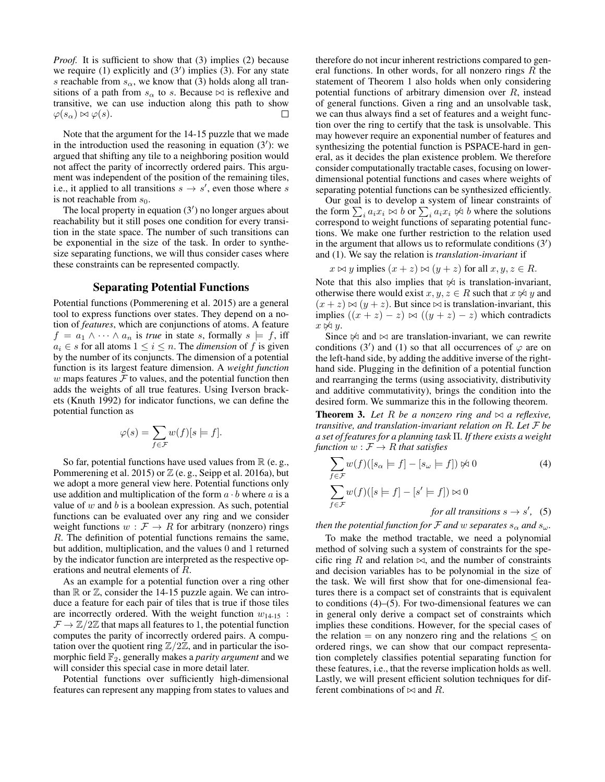*Proof.* It is sufficient to show that (3) implies (2) because we require  $(1)$  explicitly and  $(3')$  implies  $(3)$ . For any state s reachable from  $s_{\alpha}$ , we know that (3) holds along all transitions of a path from  $s_{\alpha}$  to s. Because  $\bowtie$  is reflexive and transitive, we can use induction along this path to show  $\varphi(s_\alpha) \bowtie \varphi(s)$ . П

Note that the argument for the 14-15 puzzle that we made in the introduction used the reasoning in equation  $(3')$ : we argued that shifting any tile to a neighboring position would not affect the parity of incorrectly ordered pairs. This argument was independent of the position of the remaining tiles, i.e., it applied to all transitions  $s \to s'$ , even those where s is not reachable from  $s_0$ .

The local property in equation  $(3')$  no longer argues about reachability but it still poses one condition for every transition in the state space. The number of such transitions can be exponential in the size of the task. In order to synthesize separating functions, we will thus consider cases where these constraints can be represented compactly.

#### Separating Potential Functions

Potential functions (Pommerening et al. 2015) are a general tool to express functions over states. They depend on a notion of *features*, which are conjunctions of atoms. A feature  $f = a_1 \wedge \cdots \wedge a_n$  is *true* in state s, formally  $s \models f$ , iff  $a_i \in s$  for all atoms  $1 \leq i \leq n$ . The *dimension* of f is given by the number of its conjuncts. The dimension of a potential function is its largest feature dimension. A *weight function*  $w$  maps features  $\mathcal F$  to values, and the potential function then adds the weights of all true features. Using Iverson brackets (Knuth 1992) for indicator functions, we can define the potential function as

$$
\varphi(s) = \sum_{f \in \mathcal{F}} w(f)[s \models f].
$$

So far, potential functions have used values from  $\mathbb R$  (e.g., Pommerening et al. 2015) or  $\mathbb Z$  (e. g., Seipp et al. 2016a), but we adopt a more general view here. Potential functions only use addition and multiplication of the form  $a \cdot b$  where a is a value of  $w$  and  $b$  is a boolean expression. As such, potential functions can be evaluated over any ring and we consider weight functions  $w : \mathcal{F} \to R$  for arbitrary (nonzero) rings R. The definition of potential functions remains the same, but addition, multiplication, and the values 0 and 1 returned by the indicator function are interpreted as the respective operations and neutral elements of R.

As an example for a potential function over a ring other than  $\mathbb R$  or  $\mathbb Z$ , consider the 14-15 puzzle again. We can introduce a feature for each pair of tiles that is true if those tiles are incorrectly ordered. With the weight function  $w_{14-15}$ :  $\mathcal{F} \to \mathbb{Z}/2\mathbb{Z}$  that maps all features to 1, the potential function computes the parity of incorrectly ordered pairs. A computation over the quotient ring  $\mathbb{Z}/2\mathbb{Z}$ , and in particular the isomorphic field F2, generally makes a *parity argument* and we will consider this special case in more detail later.

Potential functions over sufficiently high-dimensional features can represent any mapping from states to values and therefore do not incur inherent restrictions compared to general functions. In other words, for all nonzero rings  $R$  the statement of Theorem 1 also holds when only considering potential functions of arbitrary dimension over R, instead of general functions. Given a ring and an unsolvable task, we can thus always find a set of features and a weight function over the ring to certify that the task is unsolvable. This may however require an exponential number of features and synthesizing the potential function is PSPACE-hard in general, as it decides the plan existence problem. We therefore consider computationally tractable cases, focusing on lowerdimensional potential functions and cases where weights of separating potential functions can be synthesized efficiently.

Our goal is to develop a system of linear constraints of the form  $\sum_i a_i x_i \bowtie b$  or  $\sum_i a_i x_i \Join b$  where the solutions correspond to weight functions of separating potential functions. We make one further restriction to the relation used in the argument that allows us to reformulate conditions  $(3')$ and (1). We say the relation is *translation-invariant* if

$$
x \bowtie y
$$
 implies  $(x + z) \bowtie (y + z)$  for all  $x, y, z \in R$ .

Note that this also implies that  $\frac{1}{\sqrt{2}}$  is translation-invariant, otherwise there would exist  $x, y, z \in R$  such that  $x \not\approx y$  and  $(x + z) \bowtie (y + z)$ . But since  $\bowtie$  is translation-invariant, this implies  $((x + z) - z) \bowtie ((y + z) - z)$  which contradicts  $x \not\bowtie y$ .

Since  $\Join$  and  $\Join$  are translation-invariant, we can rewrite conditions (3') and (1) so that all occurrences of  $\varphi$  are on the left-hand side, by adding the additive inverse of the righthand side. Plugging in the definition of a potential function and rearranging the terms (using associativity, distributivity and additive commutativity), brings the condition into the desired form. We summarize this in the following theorem.

**Theorem 3.** Let R be a nonzero ring and  $\bowtie$  a reflexive, *transitive, and translation-invariant relation on* R*. Let* F *be a set of features for a planning task* Π*. If there exists a weight* function  $w: \mathcal{F} \rightarrow R$  that satisfies

$$
\sum_{f \in \mathcal{F}} w(f)([s_{\alpha} \models f] - [s_{\omega} \models f]) \not\approx 0 \tag{4}
$$
  

$$
\sum_{f \in \mathcal{F}} w(f)([s \models f] - [s' \models f]) \approx 0
$$
  
for all transitions  $s \rightarrow s'$ , (5)

*then the potential function for*  $\mathcal F$  *and*  $w$  *separates*  $s_\alpha$  *and*  $s_\omega$ *.* 

To make the method tractable, we need a polynomial method of solving such a system of constraints for the specific ring R and relation  $\bowtie$ , and the number of constraints and decision variables has to be polynomial in the size of the task. We will first show that for one-dimensional features there is a compact set of constraints that is equivalent to conditions  $(4)$ – $(5)$ . For two-dimensional features we can in general only derive a compact set of constraints which implies these conditions. However, for the special cases of the relation  $=$  on any nonzero ring and the relations  $\leq$  on ordered rings, we can show that our compact representation completely classifies potential separating function for these features, i.e., that the reverse implication holds as well. Lastly, we will present efficient solution techniques for different combinations of  $\bowtie$  and R.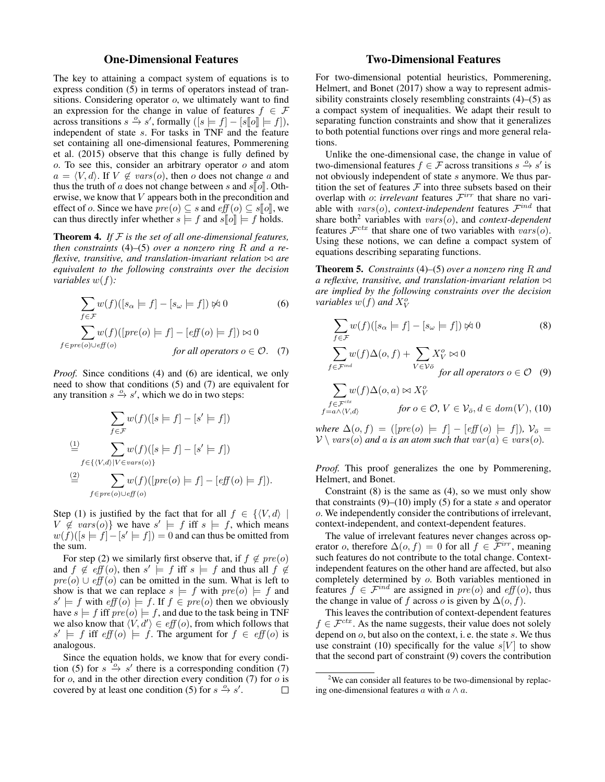# One-Dimensional Features

The key to attaining a compact system of equations is to express condition (5) in terms of operators instead of transitions. Considering operator o, we ultimately want to find an expression for the change in value of features  $f \in \mathcal{F}$ across transitions  $s \xrightarrow{\alpha} s'$ , formally  $([s \models f] - [s[\![o]\!] \models f])$ ,<br>independent of state s. For tasks in TNE and the feature independent of state s. For tasks in TNF and the feature set containing all one-dimensional features, Pommerening et al. (2015) observe that this change is fully defined by  $o$ . To see this, consider an arbitrary operator  $o$  and atom  $a = \langle V, d \rangle$ . If  $V \notin vars(o)$ , then o does not change a and thus the truth of a does not change between s and  $s\llbracket o \rrbracket$ . Otherwise, we know that V appears both in the precondition and effect of o. Since we have  $pre(o) \subseteq s$  and  $eff(o) \subseteq s[[o]]$ , we can thus directly infer whether  $s \models f$  and  $s \llbracket o \rrbracket \models f$  holds.

Theorem 4. *If* F *is the set of all one-dimensional features, then constraints* (4)*–*(5) *over a nonzero ring* R *and a reflexive, transitive, and translation-invariant relation*  $\bowtie$  *are equivalent to the following constraints over the decision variables* w(f)*:*

$$
\sum_{f \in \mathcal{F}} w(f)([s_{\alpha} \models f] - [s_{\omega} \models f]) \not\approx 0 \tag{6}
$$

$$
\sum_{f \in pre(o) \cup eff(o)} w(f)([pre(o) \models f] - [eff(o) \models f]) \bowtie 0
$$

$$
for all operators o \in \mathcal{O}. \tag{7}
$$

*Proof.* Since conditions (4) and (6) are identical, we only need to show that conditions (5) and (7) are equivalent for any transition  $s \stackrel{o}{\rightarrow} s'$ , which we do in two steps:

$$
\sum_{f \in \mathcal{F}} w(f)([s \models f] - [s' \models f])
$$
\n
$$
\stackrel{\text{(1)}}{=} \sum_{f \in \{ \langle V, d \rangle | V \in vars(o) \}} w(f)([s \models f] - [s' \models f])
$$
\n
$$
\stackrel{\text{(2)}}{=} \sum_{f \in pre(o) \cup eff(o)} w(f)([pre(o) \models f] - [eff(o) \models f]).
$$

Step (1) is justified by the fact that for all  $f \in \{ \langle V, d \rangle | \}$  $V \notin vars(o)$ } we have  $s' \models f$  iff  $s \models f$ , which means  $w(f)([s \models f] - [s' \models f]) = 0$  and can thus be omitted from the sum.

For step (2) we similarly first observe that, if  $f \notin pre(o)$ and  $f \notin \text{eff}(o)$ , then  $s' \models f$  iff  $s \models f$  and thus all  $f \notin$  $pre(o) \cup eff(o)$  can be omitted in the sum. What is left to show is that we can replace  $s = f$  with  $pre(o) \models f$  and  $s' \models f$  with  $\text{eff}(o) \models f$ . If  $f \in \text{pre}(o)$  then we obviously have  $s \models f$  iff  $pre(o) \models f$ , and due to the task being in TNF we also know that  $\langle V, d' \rangle \in eff(o)$ , from which follows that  $s' \models f$  iff  $eff(o) \models f$ . The argument for  $f \in eff(o)$  is analogous.

Since the equation holds, we know that for every condition (5) for  $s \stackrel{\rightarrow}{\rightarrow} s'$  there is a corresponding condition (7) for  $o$ , and in the other direction every condition (7) for  $o$  is covered by at least one condition (5) for  $s \stackrel{o}{\rightarrow} s'$ .  $\Box$ 

# Two-Dimensional Features

For two-dimensional potential heuristics, Pommerening, Helmert, and Bonet (2017) show a way to represent admissibility constraints closely resembling constraints (4)–(5) as a compact system of inequalities. We adapt their result to separating function constraints and show that it generalizes to both potential functions over rings and more general relations.

Unlike the one-dimensional case, the change in value of two-dimensional features  $f \in \mathcal{F}$  across transitions  $s \stackrel{o}{\rightarrow} s'$  is not obviously independent of state s anymore. We thus partition the set of features  $F$  into three subsets based on their overlap with  $\phi$ : *irrelevant* features  $\mathcal{F}^{irr}$  that share no variable with  $vars(o)$ , *context-independent* features  $\mathcal{F}^{ind}$  that share both<sup>2</sup> variables with *vars*(*o*), and *context-dependent* features  $\mathcal{F}^{ctx}$  that share one of two variables with  $vars(o)$ . Using these notions, we can define a compact system of equations describing separating functions.

Theorem 5. *Constraints* (4)*–*(5) *over a nonzero ring* R *and a reflexive, transitive, and translation-invariant relation*  $\bowtie$ *are implied by the following constraints over the decision* variables  $w(f)$  and  $X^o_V$ 

$$
\sum_{f \in \mathcal{F}} w(f)([s_{\alpha} \models f] - [s_{\omega} \models f]) \not\approx 0 \tag{8}
$$

$$
\sum_{f \in \mathcal{F}^{ind}} w(f)\Delta(o, f) + \sum_{V \in \mathcal{V}_{o}^{\bar{o}}} X_{V}^{o} \approx 0
$$

$$
\text{for all operators } o \in \mathcal{O} \tag{9}
$$

$$
\sum_{\substack{f \in \mathcal{F}^{ctx} \\ f = a \land \langle V, d \rangle}} w(f) \Delta(o, a) \bowtie X_V^o
$$
\n
$$
\text{for } o \in \mathcal{O}, \, V \in \mathcal{V}_{\bar{o}}, d \in \text{dom}(V), \, (10)
$$

*where*  $\Delta(o, f) = ( [pre(o) \models f] - [eff(o) \models f])$ *,*  $\mathcal{V}_{\overline{o}} =$  $V \setminus vars(o)$  *and a is an atom such that*  $var(a) \in vars(o)$ *.* 

*Proof.* This proof generalizes the one by Pommerening, Helmert, and Bonet.

Constraint  $(8)$  is the same as  $(4)$ , so we must only show that constraints  $(9)$ – $(10)$  imply (5) for a state s and operator o. We independently consider the contributions of irrelevant, context-independent, and context-dependent features.

The value of irrelevant features never changes across operator o, therefore  $\Delta(o, f) = 0$  for all  $f \in \mathcal{F}^{irr}$ , meaning such features do not contribute to the total change. Contextindependent features on the other hand are affected, but also completely determined by o. Both variables mentioned in features  $f \in \mathcal{F}^{ind}$  are assigned in  $pre(o)$  and  $eff(o)$ , thus the change in value of f across o is given by  $\Delta(o, f)$ .

This leaves the contribution of context-dependent features  $f \in \mathcal{F}^{ctx}$ . As the name suggests, their value does not solely depend on o, but also on the context, i. e. the state s. We thus use constraint (10) specifically for the value  $s[V]$  to show that the second part of constraint (9) covers the contribution

<sup>&</sup>lt;sup>2</sup>We can consider all features to be two-dimensional by replacing one-dimensional features  $a$  with  $a \wedge a$ .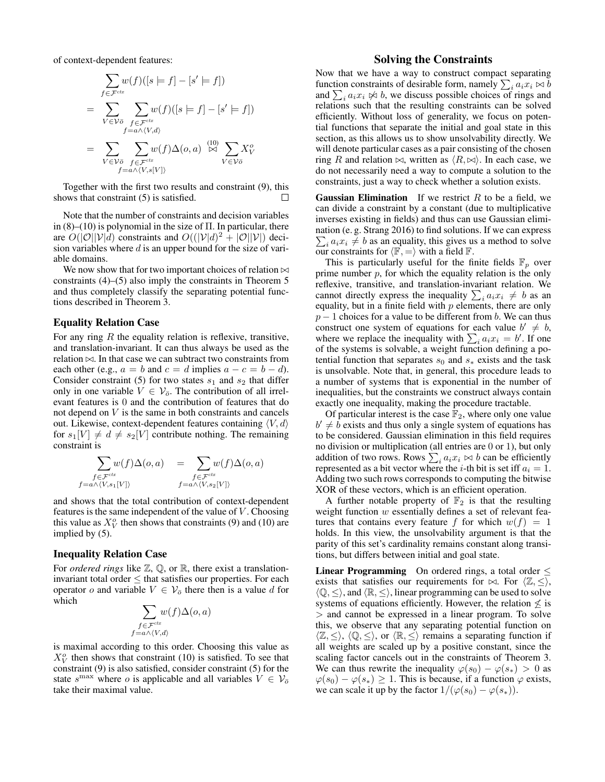of context-dependent features:

$$
\sum_{f \in \mathcal{F}^{ctx}} w(f)([s \models f] - [s' \models f])
$$
\n
$$
= \sum_{V \in \mathcal{V}\bar{o}} \sum_{f \in \mathcal{F}^{ctx}} w(f)([s \models f] - [s' \models f])
$$
\n
$$
= \sum_{V \in \mathcal{V}\bar{o}} \sum_{f \in \mathcal{F}^{ctx}} w(f) \Delta(o, a) \overset{(10)}{\bowtie} \sum_{V \in \mathcal{V}\bar{o}} X^o_V
$$
\n
$$
f = a \land \langle V, s[V] \rangle
$$

Together with the first two results and constraint (9), this shows that constraint (5) is satisfied.

Note that the number of constraints and decision variables in  $(8)$ – $(10)$  is polynomial in the size of  $\Pi$ . In particular, there are  $O(|\mathcal{O}||\mathcal{V}|d)$  constraints and  $O((|\mathcal{V}|d)^2 + |\mathcal{O}||\mathcal{V}|)$  decision variables where  $d$  is an upper bound for the size of variable domains.

We now show that for two important choices of relation  $\bowtie$ constraints (4)–(5) also imply the constraints in Theorem 5 and thus completely classify the separating potential functions described in Theorem 3.

#### Equality Relation Case

For any ring  $R$  the equality relation is reflexive, transitive, and translation-invariant. It can thus always be used as the relation  $\bowtie$ . In that case we can subtract two constraints from each other (e.g.,  $a = b$  and  $c = d$  implies  $a - c = b - d$ ). Consider constraint (5) for two states  $s_1$  and  $s_2$  that differ only in one variable  $V \in V_{\overline{o}}$ . The contribution of all irrelevant features is 0 and the contribution of features that do not depend on  $V$  is the same in both constraints and cancels out. Likewise, context-dependent features containing  $\langle V, d \rangle$ for  $s_1[V] \neq d \neq s_2[V]$  contribute nothing. The remaining constraint is

$$
\sum_{\substack{f \in \mathcal{F}^{ctx} \\ f = a \land \langle V, s_1[V] \rangle}} w(f) \Delta(o, a) = \sum_{\substack{f \in \mathcal{F}^{ctx} \\ f = a \land \langle V, s_2[V] \rangle}} w(f) \Delta(o, a)
$$

and shows that the total contribution of context-dependent features is the same independent of the value of  $V$ . Choosing this value as  $X_V^o$  then shows that constraints (9) and (10) are implied by (5).

#### Inequality Relation Case

For *ordered rings* like  $\mathbb{Z}, \mathbb{Q}$ , or  $\mathbb{R}$ , there exist a translationinvariant total order  $\leq$  that satisfies our properties. For each operator o and variable  $V \in V_{\overline{o}}$  there then is a value d for which

$$
\sum_{\substack{f \in \mathcal{F}^{ctx} \\ f = a \land \langle V, d \rangle}} w(f) \Delta(o, a)
$$

is maximal according to this order. Choosing this value as  $X_V^o$  then shows that constraint (10) is satisfied. To see that constraint (9) is also satisfied, consider constraint (5) for the state  $s^{\max}$  where o is applicable and all variables  $V \in V_{\overline{o}}$ take their maximal value.

### Solving the Constraints

Now that we have a way to construct compact separating function constraints of desirable form, namely  $\sum_i a_i x_i \bowtie b$ and  $\sum_i a_i x_i \not\bowtie b$ , we discuss possible choices of rings and relations such that the resulting constraints can be solved efficiently. Without loss of generality, we focus on potential functions that separate the initial and goal state in this section, as this allows us to show unsolvability directly. We will denote particular cases as a pair consisting of the chosen ring R and relation  $\bowtie$ , written as  $\langle R, \bowtie \rangle$ . In each case, we do not necessarily need a way to compute a solution to the constraints, just a way to check whether a solution exists.

**Gaussian Elimination** If we restrict R to be a field, we can divide a constraint by a constant (due to multiplicative inverses existing in fields) and thus can use Gaussian elimination (e. g. Strang 2016) to find solutions. If we can express  $\sum_i a_i x_i \neq b$  as an equality, this gives us a method to solve our constraints for  $\langle \mathbb{F}, = \rangle$  with a field  $\mathbb{F}$ .

This is particularly useful for the finite fields  $\mathbb{F}_p$  over prime number  $p$ , for which the equality relation is the only reflexive, transitive, and translation-invariant relation. We cannot directly express the inequality  $\sum_i a_i x_i \neq b$  as an equality, but in a finite field with  $p$  elements, there are only  $p-1$  choices for a value to be different from b. We can thus construct one system of equations for each value  $b' \neq b$ , where we replace the inequality with  $\sum_i a_i x_i = b'$ . If one of the systems is solvable, a weight function defining a potential function that separates  $s_0$  and  $s_*$  exists and the task is unsolvable. Note that, in general, this procedure leads to a number of systems that is exponential in the number of inequalities, but the constraints we construct always contain exactly one inequality, making the procedure tractable.

Of particular interest is the case  $\mathbb{F}_2$ , where only one value  $b' \neq \overline{b}$  exists and thus only a single system of equations has to be considered. Gaussian elimination in this field requires no division or multiplication (all entries are 0 or 1), but only addition of two rows. Rows  $\sum_i a_i x_i \bowtie b$  can be efficiently represented as a bit vector where the *i*-th bit is set iff  $a_i = 1$ . Adding two such rows corresponds to computing the bitwise XOR of these vectors, which is an efficient operation.

A further notable property of  $\mathbb{F}_2$  is that the resulting weight function  $w$  essentially defines a set of relevant features that contains every feature f for which  $w(f) = 1$ holds. In this view, the unsolvability argument is that the parity of this set's cardinality remains constant along transitions, but differs between initial and goal state.

**Linear Programming** On ordered rings, a total order  $\leq$ exists that satisfies our requirements for  $\bowtie$ . For  $\langle \mathbb{Z}, \leq \rangle$ ,  $\langle \mathbb{Q}, \leq \rangle$ , and  $\langle \mathbb{R}, \leq \rangle$ , linear programming can be used to solve systems of equations efficiently. However, the relation  $\leq$  is > and cannot be expressed in a linear program. To solve this, we observe that any separating potential function on  $\langle \mathbb{Z}, \leq \rangle$ ,  $\langle \mathbb{Q}, \leq \rangle$ , or  $\langle \mathbb{R}, \leq \rangle$  remains a separating function if all weights are scaled up by a positive constant, since the scaling factor cancels out in the constraints of Theorem 3. We can thus rewrite the inequality  $\varphi(s_0) - \varphi(s_*) > 0$  as  $\varphi(s_0) - \varphi(s_*) \geq 1$ . This is because, if a function  $\varphi$  exists, we can scale it up by the factor  $1/(\varphi(s_0) - \varphi(s_*))$ .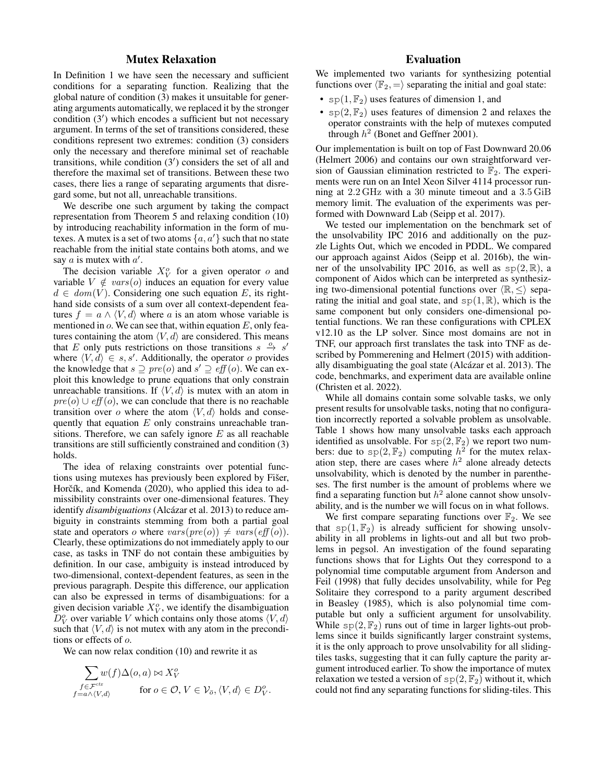# Mutex Relaxation

In Definition 1 we have seen the necessary and sufficient conditions for a separating function. Realizing that the global nature of condition (3) makes it unsuitable for generating arguments automatically, we replaced it by the stronger condition (3') which encodes a sufficient but not necessary argument. In terms of the set of transitions considered, these conditions represent two extremes: condition (3) considers only the necessary and therefore minimal set of reachable transitions, while condition  $(3')$  considers the set of all and therefore the maximal set of transitions. Between these two cases, there lies a range of separating arguments that disregard some, but not all, unreachable transitions.

We describe one such argument by taking the compact representation from Theorem 5 and relaxing condition (10) by introducing reachability information in the form of mutexes. A mutex is a set of two atoms  $\{a, a'\}$  such that no state reachable from the initial state contains both atoms, and we say  $a$  is mutex with  $a'$ .

The decision variable  $X_V^o$  for a given operator o and variable  $V \notin vars(o)$  induces an equation for every value  $d \in dom(V)$ . Considering one such equation E, its righthand side consists of a sum over all context-dependent features  $f = a \wedge \langle V, d \rangle$  where a is an atom whose variable is mentioned in  $\omega$ . We can see that, within equation  $E$ , only features containing the atom  $\langle V, d \rangle$  are considered. This means that E only puts restrictions on those transitions  $s \stackrel{o}{\rightarrow} s'$ where  $\langle V, d \rangle \in s, s'$ . Additionally, the operator o provides the knowledge that  $s \supseteq \text{pre}(o)$  and  $s' \supseteq \text{eff}(o)$ . We can exploit this knowledge to prune equations that only constrain unreachable transitions. If  $\langle V, d \rangle$  is mutex with an atom in  $pre(o) \cup eff(o)$ , we can conclude that there is no reachable transition over o where the atom  $\langle V, d \rangle$  holds and consequently that equation  $E$  only constrains unreachable transitions. Therefore, we can safely ignore  $E$  as all reachable transitions are still sufficiently constrained and condition (3) holds.

The idea of relaxing constraints over potential functions using mutexes has previously been explored by Fišer, Horčík, and Komenda (2020), who applied this idea to admissibility constraints over one-dimensional features. They identify *disambiguations* (Alcázar et al. 2013) to reduce ambiguity in constraints stemming from both a partial goal state and operators o where  $vars(pre(o)) \neq vars(eff(o))$ . Clearly, these optimizations do not immediately apply to our case, as tasks in TNF do not contain these ambiguities by definition. In our case, ambiguity is instead introduced by two-dimensional, context-dependent features, as seen in the previous paragraph. Despite this difference, our application can also be expressed in terms of disambiguations: for a given decision variable  $X_V^o$ , we identify the disambiguation  $D_V^o$  over variable V which contains only those atoms  $\langle V, d \rangle$ such that  $\langle V, d \rangle$  is not mutex with any atom in the preconditions or effects of o.

We can now relax condition (10) and rewrite it as

$$
\sum_{\substack{f \in \mathcal{F}^{ctx} \\ f = a \land \langle V, d \rangle}} w(f) \Delta(o, a) \bowtie X_V^o
$$
\n
$$
\text{for } o \in \mathcal{O}, V \in \mathcal{V}_{\overline{o}}, \langle V, d \rangle \in D_V^o.
$$

# Evaluation

We implemented two variants for synthesizing potential functions over  $\langle \mathbb{F}_2, = \rangle$  separating the initial and goal state:

- $sp(1, \mathbb{F}_2)$  uses features of dimension 1, and
- $sp(2, \mathbb{F}_2)$  uses features of dimension 2 and relaxes the operator constraints with the help of mutexes computed through  $h^2$  (Bonet and Geffner 2001).

Our implementation is built on top of Fast Downward 20.06 (Helmert 2006) and contains our own straightforward version of Gaussian elimination restricted to  $\mathbb{F}_2$ . The experiments were run on an Intel Xeon Silver 4114 processor running at 2.2 GHz with a 30 minute timeout and a 3.5 GiB memory limit. The evaluation of the experiments was performed with Downward Lab (Seipp et al. 2017).

We tested our implementation on the benchmark set of the unsolvability IPC 2016 and additionally on the puzzle Lights Out, which we encoded in PDDL. We compared our approach against Aidos (Seipp et al. 2016b), the winner of the unsolvability IPC 2016, as well as  $sp(2, \mathbb{R})$ , a component of Aidos which can be interpreted as synthesizing two-dimensional potential functions over  $\langle \mathbb{R}, \leq \rangle$  separating the initial and goal state, and  $sp(1, \mathbb{R})$ , which is the same component but only considers one-dimensional potential functions. We ran these configurations with CPLEX v12.10 as the LP solver. Since most domains are not in TNF, our approach first translates the task into TNF as described by Pommerening and Helmert (2015) with additionally disambiguating the goal state (Alcázar et al. 2013). The code, benchmarks, and experiment data are available online (Christen et al. 2022).

While all domains contain some solvable tasks, we only present results for unsolvable tasks, noting that no configuration incorrectly reported a solvable problem as unsolvable. Table 1 shows how many unsolvable tasks each approach identified as unsolvable. For  $sp(2, \mathbb{F}_2)$  we report two numbers: due to  $sp(2, \mathbb{F}_2)$  computing  $h^{\frac{1}{2}}$  for the mutex relaxation step, there are cases where  $h^2$  alone already detects unsolvability, which is denoted by the number in parentheses. The first number is the amount of problems where we find a separating function but  $h^2$  alone cannot show unsolvability, and is the number we will focus on in what follows.

We first compare separating functions over  $\mathbb{F}_2$ . We see that  $sp(1, \mathbb{F}_2)$  is already sufficient for showing unsolvability in all problems in lights-out and all but two problems in pegsol. An investigation of the found separating functions shows that for Lights Out they correspond to a polynomial time computable argument from Anderson and Feil (1998) that fully decides unsolvability, while for Peg Solitaire they correspond to a parity argument described in Beasley (1985), which is also polynomial time computable but only a sufficient argument for unsolvability. While  $sp(2, \mathbb{F}_2)$  runs out of time in larger lights-out problems since it builds significantly larger constraint systems, it is the only approach to prove unsolvability for all slidingtiles tasks, suggesting that it can fully capture the parity argument introduced earlier. To show the importance of mutex relaxation we tested a version of  $sp(2, \mathbb{F}_2)$  without it, which could not find any separating functions for sliding-tiles. This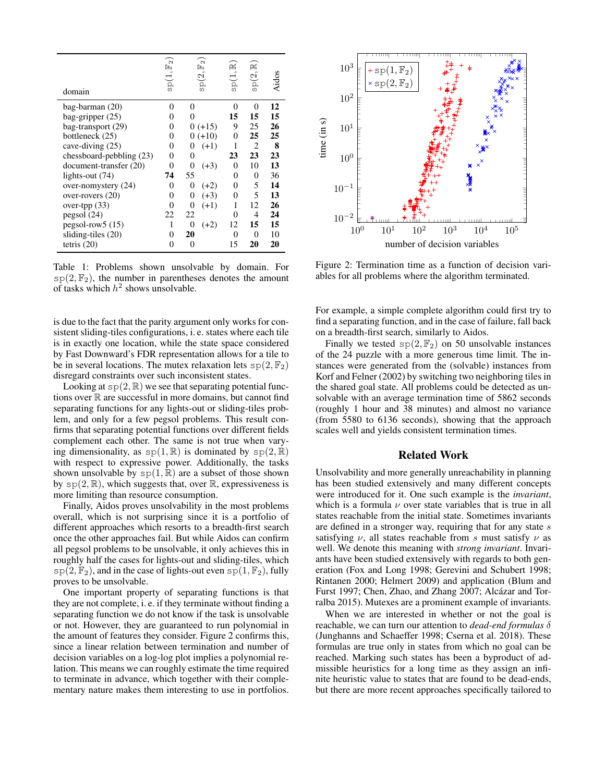| domain                   | $sp(1, \mathbb{F}_2$ | $\sim$<br>Ŀ<br>sp(2, | 囶<br>sp(1, | $sp(2,\mathbb{R})$ | Aidos |
|--------------------------|----------------------|----------------------|------------|--------------------|-------|
| bag-barman (20)          | 0                    | 0                    | 0          | 0                  | 12    |
| bag-gripper $(25)$       | 0                    | 0                    | 15         | 15                 | 15    |
| bag-transport (29)       | 0                    | $0 (+15)$            | 9          | 25                 | 26    |
| bottleneck (25)          | 0                    | $0 (+10)$            | 0          | 25                 | 25    |
| cave-diving (25)         | 0                    | $(+1)$<br>0          | 1          | 2                  | 8     |
| chessboard-pebbling (23) | 0                    | 0                    | 23         | 23                 | 23    |
| document-transfer (20)   | 0                    | 0<br>$(+3)$          | 0          | 10                 | 13    |
| lights-out (74)          | 74                   | 55                   | 0          | 0                  | 36    |
| over-nomystery (24)      | 0                    | 0<br>$(+2)$          | 0          | 5                  | 14    |
| over-rovers $(20)$       | 0                    | 0<br>$(+3)$          | 0          | 5                  | 13    |
| over-tpp (33)            | 0                    | 0<br>$(+1)$          | 1          | 12                 | 26    |
| pegsol(24)               | 22                   | 22                   | 0          | 4                  | 24    |
| $pegsol-row5(15)$        |                      | $\theta$<br>$(+2)$   | 12         | 15                 | 15    |
| sliding-tiles (20)       | 0                    | 20                   | 0          | $\Omega$           | 10    |
| tetris $(20)$            | 0                    | 0                    | 15         | 20                 | 20    |

Table 1: Problems shown unsolvable by domain. For  $\text{sp}(2,\mathbb{F}_2)$ , the number in parentheses denotes the amount of tasks which  $h^2$  shows unsolvable.

is due to the fact that the parity argument only works for consistent sliding-tiles configurations, i. e. states where each tile is in exactly one location, while the state space considered by Fast Downward's FDR representation allows for a tile to be in several locations. The mutex relaxation lets  $sp(2, \mathbb{F}_2)$ disregard constraints over such inconsistent states.

Looking at  $sp(2, \mathbb{R})$  we see that separating potential functions over  $\mathbb R$  are successful in more domains, but cannot find separating functions for any lights-out or sliding-tiles problem, and only for a few pegsol problems. This result confirms that separating potential functions over different fields complement each other. The same is not true when varying dimensionality, as  $sp(1, \mathbb{R})$  is dominated by  $sp(2, \mathbb{R})$ with respect to expressive power. Additionally, the tasks shown unsolvable by  $sp(1, \mathbb{R})$  are a subset of those shown by  $sp(2, \mathbb{R})$ , which suggests that, over  $\mathbb{R}$ , expressiveness is more limiting than resource consumption.

Finally, Aidos proves unsolvability in the most problems overall, which is not surprising since it is a portfolio of different approaches which resorts to a breadth-first search once the other approaches fail. But while Aidos can confirm all pegsol problems to be unsolvable, it only achieves this in roughly half the cases for lights-out and sliding-tiles, which  $sp(2, \mathbb{F}_2)$ , and in the case of lights-out even  $sp(1, \mathbb{F}_2)$ , fully proves to be unsolvable.

One important property of separating functions is that they are not complete, i. e. if they terminate without finding a separating function we do not know if the task is unsolvable or not. However, they are guaranteed to run polynomial in the amount of features they consider. Figure 2 confirms this, since a linear relation between termination and number of decision variables on a log-log plot implies a polynomial relation. This means we can roughly estimate the time required to terminate in advance, which together with their complementary nature makes them interesting to use in portfolios.



Figure 2: Termination time as a function of decision variables for all problems where the algorithm terminated.

For example, a simple complete algorithm could first try to find a separating function, and in the case of failure, fall back on a breadth-first search, similarly to Aidos.

Finally we tested  $sp(2, \mathbb{F}_2)$  on 50 unsolvable instances of the 24 puzzle with a more generous time limit. The instances were generated from the (solvable) instances from Korf and Felner (2002) by switching two neighboring tiles in the shared goal state. All problems could be detected as unsolvable with an average termination time of 5862 seconds (roughly 1 hour and 38 minutes) and almost no variance (from 5580 to 6136 seconds), showing that the approach scales well and yields consistent termination times.

# Related Work

Unsolvability and more generally unreachability in planning has been studied extensively and many different concepts were introduced for it. One such example is the *invariant*, which is a formula  $\nu$  over state variables that is true in all states reachable from the initial state. Sometimes invariants are defined in a stronger way, requiring that for any state  $s$ satisfying  $\nu$ , all states reachable from s must satisfy  $\nu$  as well. We denote this meaning with *strong invariant*. Invariants have been studied extensively with regards to both generation (Fox and Long 1998; Gerevini and Schubert 1998; Rintanen 2000; Helmert 2009) and application (Blum and Furst 1997; Chen, Zhao, and Zhang 2007; Alcázar and Torralba 2015). Mutexes are a prominent example of invariants.

When we are interested in whether or not the goal is reachable, we can turn our attention to *dead-end formulas* δ (Junghanns and Schaeffer 1998; Cserna et al. 2018). These formulas are true only in states from which no goal can be reached. Marking such states has been a byproduct of admissible heuristics for a long time as they assign an infinite heuristic value to states that are found to be dead-ends, but there are more recent approaches specifically tailored to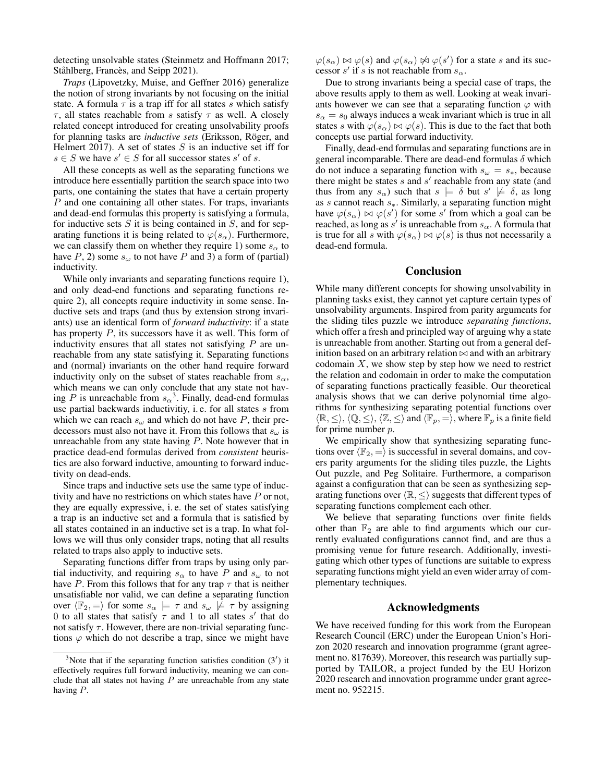detecting unsolvable states (Steinmetz and Hoffmann 2017; Ståhlberg, Francès, and Seipp 2021).

*Traps* (Lipovetzky, Muise, and Geffner 2016) generalize the notion of strong invariants by not focusing on the initial state. A formula  $\tau$  is a trap iff for all states s which satisfy τ, all states reachable from s satisfy τ as well. A closely related concept introduced for creating unsolvability proofs for planning tasks are *inductive sets* (Eriksson, Röger, and Helmert 2017). A set of states  $S$  is an inductive set iff for  $s \in S$  we have  $s' \in S$  for all successor states  $s'$  of s.

All these concepts as well as the separating functions we introduce here essentially partition the search space into two parts, one containing the states that have a certain property P and one containing all other states. For traps, invariants and dead-end formulas this property is satisfying a formula, for inductive sets  $S$  it is being contained in  $S$ , and for separating functions it is being related to  $\varphi(s_\alpha)$ . Furthermore, we can classify them on whether they require 1) some  $s_{\alpha}$  to have P, 2) some  $s_{\omega}$  to not have P and 3) a form of (partial) inductivity.

While only invariants and separating functions require 1), and only dead-end functions and separating functions require 2), all concepts require inductivity in some sense. Inductive sets and traps (and thus by extension strong invariants) use an identical form of *forward inductivity*: if a state has property P, its successors have it as well. This form of inductivity ensures that all states not satisfying  $P$  are unreachable from any state satisfying it. Separating functions and (normal) invariants on the other hand require forward inductivity only on the subset of states reachable from  $s_{\alpha}$ , which means we can only conclude that any state not having P is unreachable from  $s_\alpha^3$ . Finally, dead-end formulas use partial backwards inductivitiy, i. e. for all states s from which we can reach  $s_{\omega}$  and which do not have P, their predecessors must also not have it. From this follows that  $s_{\omega}$  is unreachable from any state having  $P$ . Note however that in practice dead-end formulas derived from *consistent* heuristics are also forward inductive, amounting to forward inductivity on dead-ends.

Since traps and inductive sets use the same type of inductivity and have no restrictions on which states have  $P$  or not, they are equally expressive, i. e. the set of states satisfying a trap is an inductive set and a formula that is satisfied by all states contained in an inductive set is a trap. In what follows we will thus only consider traps, noting that all results related to traps also apply to inductive sets.

Separating functions differ from traps by using only partial inductivity, and requiring  $s_{\alpha}$  to have P and  $s_{\omega}$  to not have P. From this follows that for any trap  $\tau$  that is neither unsatisfiable nor valid, we can define a separating function over  $\langle \mathbb{F}_2, = \rangle$  for some  $s_\alpha \models \tau$  and  $s_\omega \not\models \tau$  by assigning 0 to all states that satisfy  $\tau$  and 1 to all states s' that do not satisfy  $\tau$ . However, there are non-trivial separating functions  $\varphi$  which do not describe a trap, since we might have  $\varphi(s_\alpha) \bowtie \varphi(s)$  and  $\varphi(s_\alpha) \not\bowtie \varphi(s')$  for a state s and its successor s' if s is not reachable from  $s_{\alpha}$ .

Due to strong invariants being a special case of traps, the above results apply to them as well. Looking at weak invariants however we can see that a separating function  $\varphi$  with  $s_{\alpha} = s_0$  always induces a weak invariant which is true in all states s with  $\varphi(s_\alpha) \bowtie \varphi(s)$ . This is due to the fact that both concepts use partial forward inductivity.

Finally, dead-end formulas and separating functions are in general incomparable. There are dead-end formulas  $\delta$  which do not induce a separating function with  $s_{\omega} = s_{*}$ , because there might be states  $s$  and  $s'$  reachable from any state (and thus from any  $s_\alpha$ ) such that  $s \models \delta$  but  $s' \not\models \delta$ , as long as  $s$  cannot reach  $s_{*}$ . Similarly, a separating function might have  $\varphi(s_\alpha) \bowtie \varphi(s')$  for some s' from which a goal can be reached, as long as  $s'$  is unreachable from  $s_\alpha$ . A formula that is true for all s with  $\varphi(s_\alpha) \bowtie \varphi(s)$  is thus not necessarily a dead-end formula.

### Conclusion

While many different concepts for showing unsolvability in planning tasks exist, they cannot yet capture certain types of unsolvability arguments. Inspired from parity arguments for the sliding tiles puzzle we introduce *separating functions*, which offer a fresh and principled way of arguing why a state is unreachable from another. Starting out from a general definition based on an arbitrary relation  $\bowtie$  and with an arbitrary codomain  $X$ , we show step by step how we need to restrict the relation and codomain in order to make the computation of separating functions practically feasible. Our theoretical analysis shows that we can derive polynomial time algorithms for synthesizing separating potential functions over  $\langle \mathbb{R}, \le \rangle, \langle \mathbb{Q}, \le \rangle, \langle \mathbb{Z}, \le \rangle$  and  $\langle \mathbb{F}_p, = \rangle$ , where  $\mathbb{F}_p$  is a finite field for prime number p.

We empirically show that synthesizing separating functions over  $\langle \mathbb{F}_2, = \rangle$  is successful in several domains, and covers parity arguments for the sliding tiles puzzle, the Lights Out puzzle, and Peg Solitaire. Furthermore, a comparison against a configuration that can be seen as synthesizing separating functions over  $\langle \mathbb{R}, \leq \rangle$  suggests that different types of separating functions complement each other.

We believe that separating functions over finite fields other than  $\mathbb{F}_2$  are able to find arguments which our currently evaluated configurations cannot find, and are thus a promising venue for future research. Additionally, investigating which other types of functions are suitable to express separating functions might yield an even wider array of complementary techniques.

#### Acknowledgments

We have received funding for this work from the European Research Council (ERC) under the European Union's Horizon 2020 research and innovation programme (grant agreement no. 817639). Moreover, this research was partially supported by TAILOR, a project funded by the EU Horizon 2020 research and innovation programme under grant agreement no. 952215.

 $3$ Note that if the separating function satisfies condition  $(3')$  it effectively requires full forward inductivity, meaning we can conclude that all states not having  $P$  are unreachable from any state having P.